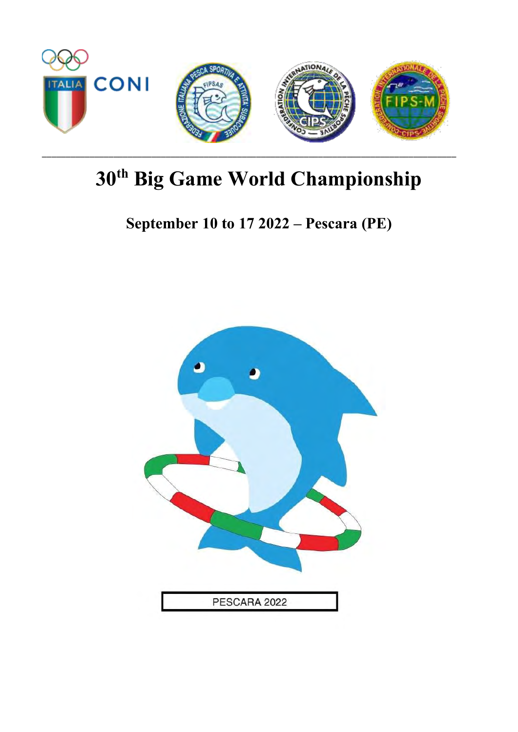

# **September 10 to 17 2022 – Pescara (PE)**

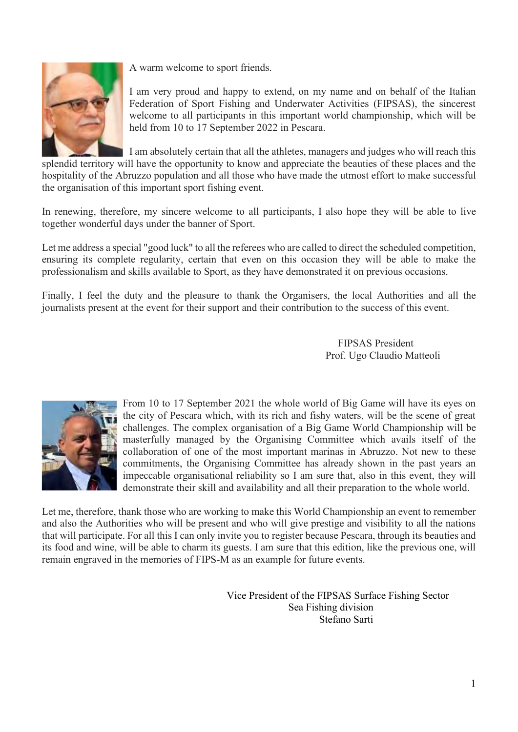

A warm welcome to sport friends.

I am very proud and happy to extend, on my name and on behalf of the Italian Federation of Sport Fishing and Underwater Activities (FIPSAS), the sincerest welcome to all participants in this important world championship, which will be held from 10 to 17 September 2022 in Pescara.

I am absolutely certain that all the athletes, managers and judges who will reach this

splendid territory will have the opportunity to know and appreciate the beauties of these places and the hospitality of the Abruzzo population and all those who have made the utmost effort to make successful the organisation of this important sport fishing event.

In renewing, therefore, my sincere welcome to all participants, I also hope they will be able to live together wonderful days under the banner of Sport.

Let me address a special "good luck" to all the referees who are called to direct the scheduled competition, ensuring its complete regularity, certain that even on this occasion they will be able to make the professionalism and skills available to Sport, as they have demonstrated it on previous occasions.

Finally, I feel the duty and the pleasure to thank the Organisers, the local Authorities and all the journalists present at the event for their support and their contribution to the success of this event.

> FIPSAS President Prof. Ugo Claudio Matteoli



From 10 to 17 September 2021 the whole world of Big Game will have its eyes on the city of Pescara which, with its rich and fishy waters, will be the scene of great challenges. The complex organisation of a Big Game World Championship will be masterfully managed by the Organising Committee which avails itself of the collaboration of one of the most important marinas in Abruzzo. Not new to these commitments, the Organising Committee has already shown in the past years an impeccable organisational reliability so I am sure that, also in this event, they will demonstrate their skill and availability and all their preparation to the whole world.

Let me, therefore, thank those who are working to make this World Championship an event to remember and also the Authorities who will be present and who will give prestige and visibility to all the nations that will participate. For all this I can only invite you to register because Pescara, through its beauties and its food and wine, will be able to charm its guests. I am sure that this edition, like the previous one, will remain engraved in the memories of FIPS-M as an example for future events.

> Vice President of the FIPSAS Surface Fishing Sector Sea Fishing division Stefano Sarti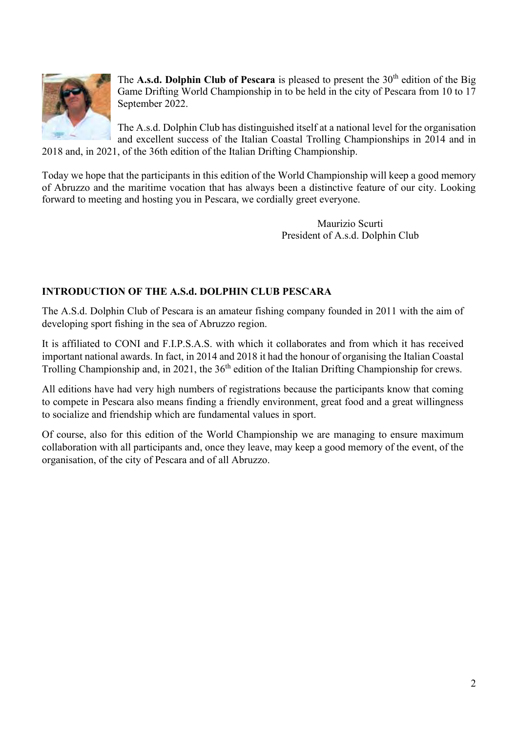

The **A.s.d. Dolphin Club of Pescara** is pleased to present the  $30<sup>th</sup>$  edition of the Big Game Drifting World Championship in to be held in the city of Pescara from 10 to 17 September 2022.

The A.s.d. Dolphin Club has distinguished itself at a national level for the organisation and excellent success of the Italian Coastal Trolling Championships in 2014 and in 2018 and, in 2021, of the 36th edition of the Italian Drifting Championship.

Today we hope that the participants in this edition of the World Championship will keep a good memory of Abruzzo and the maritime vocation that has always been a distinctive feature of our city. Looking forward to meeting and hosting you in Pescara, we cordially greet everyone.

> Maurizio Scurti President of A.s.d. Dolphin Club

#### **INTRODUCTION OF THE A.S.d. DOLPHIN CLUB PESCARA**

The A.S.d. Dolphin Club of Pescara is an amateur fishing company founded in 2011 with the aim of developing sport fishing in the sea of Abruzzo region.

It is affiliated to CONI and F.I.P.S.A.S. with which it collaborates and from which it has received important national awards. In fact, in 2014 and 2018 it had the honour of organising the Italian Coastal Trolling Championship and, in 2021, the 36<sup>th</sup> edition of the Italian Drifting Championship for crews.

All editions have had very high numbers of registrations because the participants know that coming to compete in Pescara also means finding a friendly environment, great food and a great willingness to socialize and friendship which are fundamental values in sport.

Of course, also for this edition of the World Championship we are managing to ensure maximum collaboration with all participants and, once they leave, may keep a good memory of the event, of the organisation, of the city of Pescara and of all Abruzzo.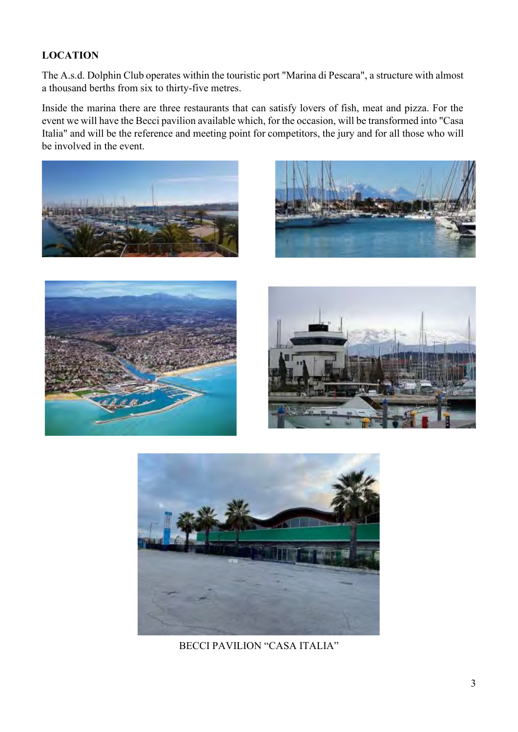### **LOCATION**

The A.s.d. Dolphin Club operates within the touristic port "Marina di Pescara", a structure with almost a thousand berths from six to thirty-five metres.

Inside the marina there are three restaurants that can satisfy lovers of fish, meat and pizza. For the event we will have the Becci pavilion available which, for the occasion, will be transformed into "Casa Italia" and will be the reference and meeting point for competitors, the jury and for all those who will be involved in the event.











BECCI PAVILION "CASA ITALIA"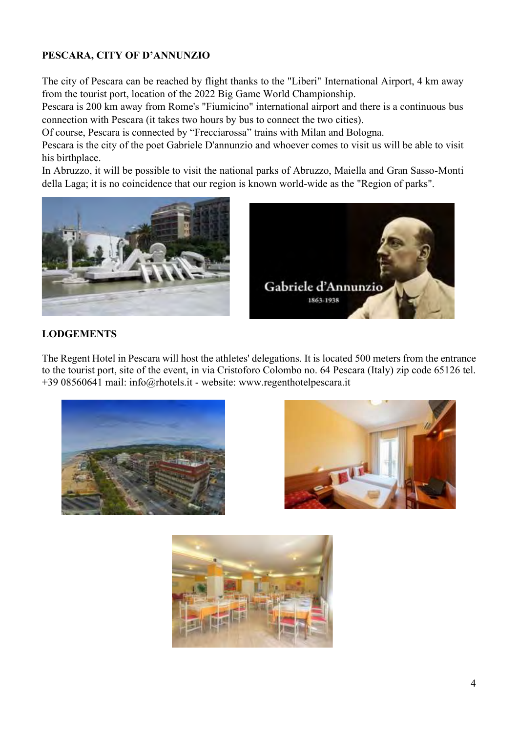### **PESCARA, CITY OF D'ANNUNZIO**

The city of Pescara can be reached by flight thanks to the "Liberi" International Airport, 4 km away from the tourist port, location of the 2022 Big Game World Championship.

Pescara is 200 km away from Rome's "Fiumicino" international airport and there is a continuous bus connection with Pescara (it takes two hours by bus to connect the two cities).

Of course, Pescara is connected by "Frecciarossa" trains with Milan and Bologna.

Pescara is the city of the poet Gabriele D'annunzio and whoever comes to visit us will be able to visit his birthplace.

In Abruzzo, it will be possible to visit the national parks of Abruzzo, Maiella and Gran Sasso-Monti della Laga; it is no coincidence that our region is known world-wide as the "Region of parks".





#### **LODGEMENTS**

The Regent Hotel in Pescara will host the athletes' delegations. It is located 500 meters from the entrance to the tourist port, site of the event, in via Cristoforo Colombo no. 64 Pescara (Italy) zip code 65126 tel. +39 08560641 mail: info@rhotels.it - website: www.regenthotelpescara.it





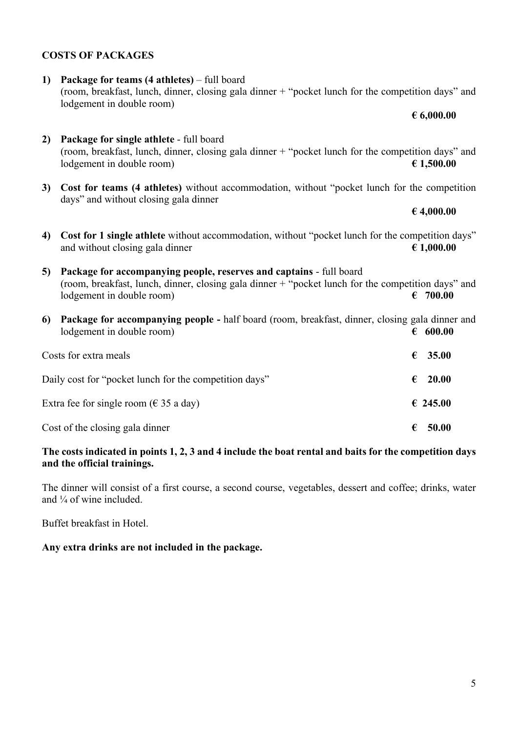### 5

#### **COSTS OF PACKAGES**

**1) Package for teams (4 athletes)** – full board (room, breakfast, lunch, dinner, closing gala dinner + "pocket lunch for the competition days" and lodgement in double room)

- **2) Package for single athlete** full board (room, breakfast, lunch, dinner, closing gala dinner + "pocket lunch for the competition days" and lodgement in double room) **€ 1,500.00**
- **3) Cost for teams (4 athletes)** without accommodation, without "pocket lunch for the competition days" and without closing gala dinner
- **4) Cost for 1 single athlete** without accommodation, without "pocket lunch for the competition days" and without closing gala dinner  $\epsilon$  1,000.00

**5) Package for accompanying people, reserves and captains** - full board (room, breakfast, lunch, dinner, closing gala dinner  $+$  "pocket lunch for the competition days" and lodgement in double room)  $\epsilon$  700.00

**6) Package for accompanying people -** half board (room, breakfast, dinner, closing gala dinner and lodgement in double room)  $\epsilon$  600.00

| Costs for extra meals                                  |   | € 35.00          |
|--------------------------------------------------------|---|------------------|
| Daily cost for "pocket lunch for the competition days" |   | $\epsilon$ 20.00 |
| Extra fee for single room ( $\in$ 35 a day)            |   | € 245.00         |
| Cost of the closing gala dinner                        | € | 50.00            |

#### **The costs indicated in points 1, 2, 3 and 4 include the boat rental and baits for the competition days and the official trainings.**

The dinner will consist of a first course, a second course, vegetables, dessert and coffee; drinks, water and ¼ of wine included.

Buffet breakfast in Hotel.

#### **Any extra drinks are not included in the package.**

#### **€ 6,000.00**

**€ 4,000.00**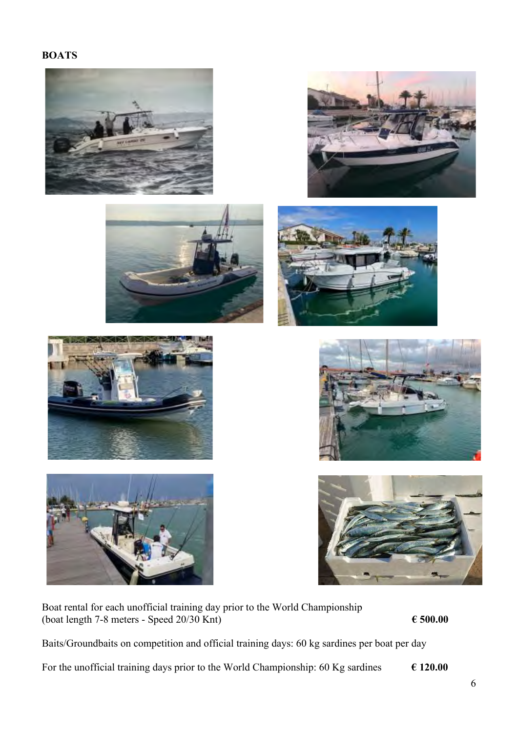















Boat rental for each unofficial training day prior to the World Championship (boat length 7-8 meters - Speed  $20/30$  Knt)  $\epsilon$  500.00

Baits/Groundbaits on competition and official training days: 60 kg sardines per boat per day

For the unofficial training days prior to the World Championship: 60 Kg sardines  $\epsilon$  120.00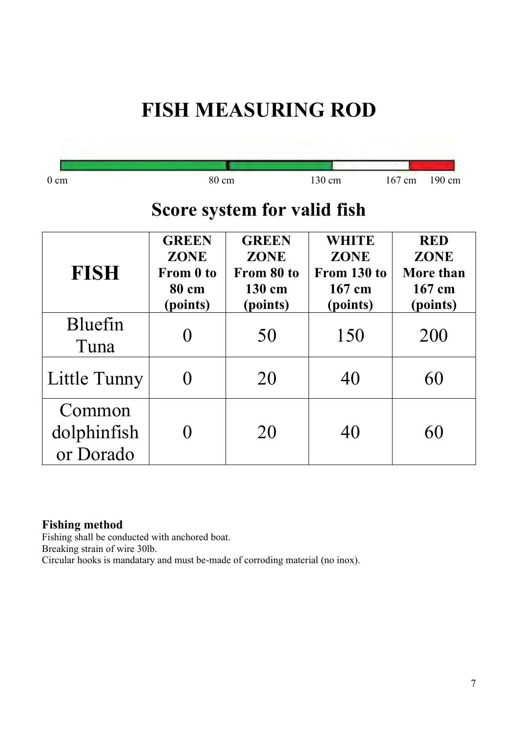# **FISH MEASURING ROD**

| $0 \text{ cm}$                     | 80 cm                                                         |                                                                 | 130 cm                                                           | 167 cm<br>190 cm                                             |
|------------------------------------|---------------------------------------------------------------|-----------------------------------------------------------------|------------------------------------------------------------------|--------------------------------------------------------------|
|                                    |                                                               | Score system for valid fish                                     |                                                                  |                                                              |
| <b>FISH</b>                        | <b>GREEN</b><br><b>ZONE</b><br>From 0 to<br>80 cm<br>(points) | <b>GREEN</b><br><b>ZONE</b><br>From 80 to<br>130 cm<br>(points) | <b>WHITE</b><br><b>ZONE</b><br>From 130 to<br>167 cm<br>(points) | <b>RED</b><br><b>ZONE</b><br>More than<br>167 cm<br>(points) |
| Bluefin<br>Tuna                    |                                                               | 50                                                              | 150                                                              | 200                                                          |
| Little Tunny                       |                                                               | 20                                                              | 40                                                               | 60                                                           |
| Common<br>dolphinfish<br>or Dorado |                                                               | 20                                                              | 40                                                               | 60                                                           |

### **Fishing method**

Fishing shall be conducted with anchored boat.

Breaking strain of wire 30lb.

Circular hooks is mandatary and must be-made of corroding material (no inox).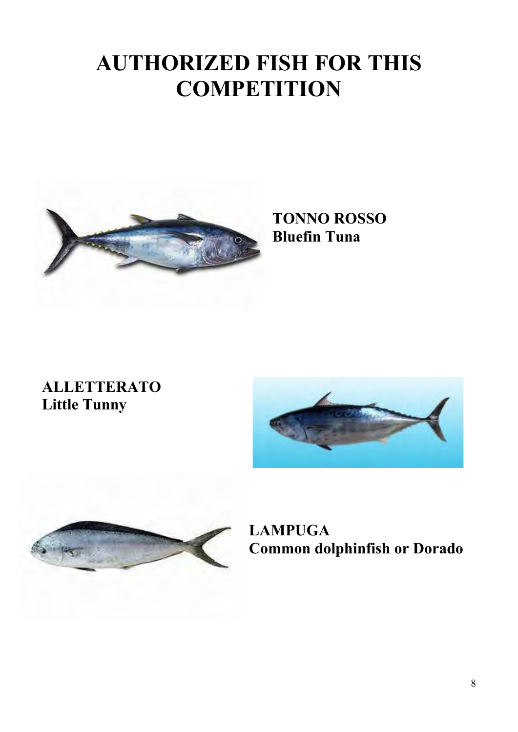# **AUTHORIZED FISH FOR THIS COMPETITION**



# **TONNO ROSSO Bluefin Tuna**

# **ALLETTERATO Little Tunny**





**LAMPUGA Common dolphinfish or Dorado**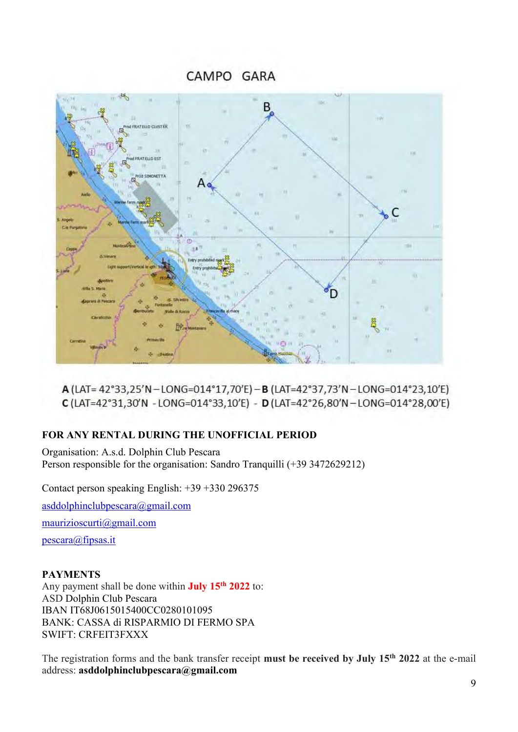CAMPO GARA



A (LAT= 42°33,25'N-LONG=014°17,70'E)-B (LAT=42°37,73'N-LONG=014°23,10'E) C (LAT=42°31,30'N - LONG=014°33,10'E) - D (LAT=42°26,80'N-LONG=014°28,00'E)

#### **FOR ANY RENTAL DURING THE UNOFFICIAL PERIOD**

Organisation: A.s.d. Dolphin Club Pescara Person responsible for the organisation: Sandro Tranquilli (+39 3472629212)

Contact person speaking English: +39 +330 296375

[asddolphinclubpescara@gmail.com](mailto:asddolphinclubpescara@gmail.com)

[maurizioscurti@gmail.com](mailto:maurizioscurti@gmail.com)

[pescara@fipsas.it](mailto:pescara@fipsas.it)

#### **PAYMENTS**

Any payment shall be done within **July 15th 2022** to: ASD Dolphin Club Pescara IBAN IT68J0615015400CC0280101095 BANK: CASSA di RISPARMIO DI FERMO SPA SWIFT: CRFEIT3FXXX

The registration forms and the bank transfer receipt **must be received by July 15th 2022** at the e-mail address: **asddolphinclubpescara@gmail.com**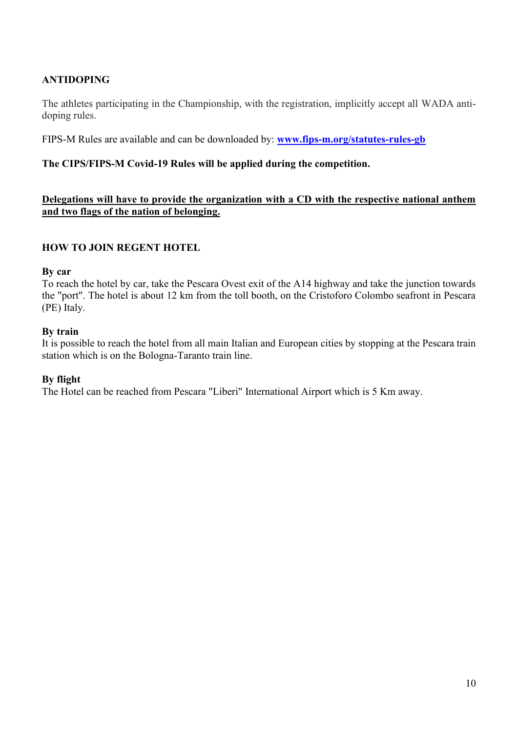#### **ANTIDOPING**

The athletes participating in the Championship, with the registration, implicitly accept all WADA antidoping rules.

FIPS-M Rules are available and can be downloaded by: **www.fips-m.org/statutes-rules-gb**

#### **The CIPS/FIPS-M Covid-19 Rules will be applied during the competition.**

#### **Delegations will have to provide the organization with a CD with the respective national anthem and two flags of the nation of belonging.**

#### **HOW TO JOIN REGENT HOTEL**

#### **By car**

To reach the hotel by car, take the Pescara Ovest exit of the A14 highway and take the junction towards the "port". The hotel is about 12 km from the toll booth, on the Cristoforo Colombo seafront in Pescara (PE) Italy.

#### **By train**

It is possible to reach the hotel from all main Italian and European cities by stopping at the Pescara train station which is on the Bologna-Taranto train line.

#### **By flight**

The Hotel can be reached from Pescara "Liberi" International Airport which is 5 Km away.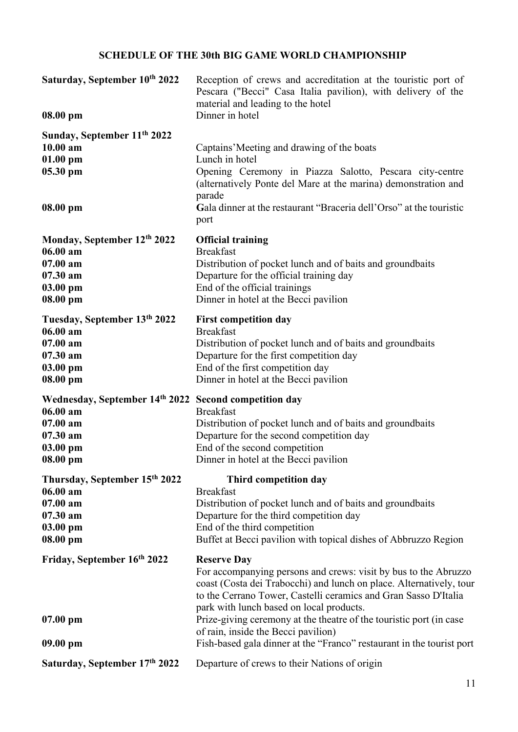### **SCHEDULE OF THE 30th BIG GAME WORLD CHAMPIONSHIP**

| Saturday, September 10th 2022<br>08.00 pm                                                                             | Reception of crews and accreditation at the touristic port of<br>Pescara ("Becci" Casa Italia pavilion), with delivery of the<br>material and leading to the hotel<br>Dinner in hotel                                                                                                                                                                                                                                                                              |
|-----------------------------------------------------------------------------------------------------------------------|--------------------------------------------------------------------------------------------------------------------------------------------------------------------------------------------------------------------------------------------------------------------------------------------------------------------------------------------------------------------------------------------------------------------------------------------------------------------|
| Sunday, September 11 <sup>th</sup> 2022<br>$10.00$ am<br>$01.00$ pm<br>$05.30$ pm<br>$08.00$ pm                       | Captains' Meeting and drawing of the boats<br>Lunch in hotel<br>Opening Ceremony in Piazza Salotto, Pescara city-centre<br>(alternatively Ponte del Mare at the marina) demonstration and<br>parade<br>Gala dinner at the restaurant "Braceria dell'Orso" at the touristic<br>port                                                                                                                                                                                 |
| Monday, September 12th 2022<br>06.00 am<br>$07.00$ am<br>07.30 am<br>03.00 pm<br>$08.00$ pm                           | <b>Official training</b><br><b>Breakfast</b><br>Distribution of pocket lunch and of baits and groundbaits<br>Departure for the official training day<br>End of the official trainings<br>Dinner in hotel at the Becci pavilion                                                                                                                                                                                                                                     |
| Tuesday, September 13th 2022<br>06.00 am<br>$07.00$ am<br>07.30 am<br>$03.00$ pm<br>08.00 pm                          | <b>First competition day</b><br><b>Breakfast</b><br>Distribution of pocket lunch and of baits and groundbaits<br>Departure for the first competition day<br>End of the first competition day<br>Dinner in hotel at the Becci pavilion                                                                                                                                                                                                                              |
| Wednesday, September 14th 2022 Second competition day<br>06.00 am<br>$07.00$ am<br>$07.30$ am<br>03.00 pm<br>08.00 pm | <b>Breakfast</b><br>Distribution of pocket lunch and of baits and groundbaits<br>Departure for the second competition day<br>End of the second competition<br>Dinner in hotel at the Becci pavilion                                                                                                                                                                                                                                                                |
| Thursday, September 15th 2022<br>06.00 am<br>07.00 am<br>07.30 am<br>03.00 pm<br>$08.00$ pm                           | Third competition day<br><b>Breakfast</b><br>Distribution of pocket lunch and of baits and groundbaits<br>Departure for the third competition day<br>End of the third competition<br>Buffet at Becci pavilion with topical dishes of Abbruzzo Region                                                                                                                                                                                                               |
| Friday, September 16th 2022<br>$07.00 \text{ pm}$<br>$09.00 \text{ pm}$                                               | <b>Reserve Day</b><br>For accompanying persons and crews: visit by bus to the Abruzzo<br>coast (Costa dei Trabocchi) and lunch on place. Alternatively, tour<br>to the Cerrano Tower, Castelli ceramics and Gran Sasso D'Italia<br>park with lunch based on local products.<br>Prize-giving ceremony at the theatre of the touristic port (in case<br>of rain, inside the Becci pavilion)<br>Fish-based gala dinner at the "Franco" restaurant in the tourist port |
| Saturday, September 17th 2022                                                                                         | Departure of crews to their Nations of origin                                                                                                                                                                                                                                                                                                                                                                                                                      |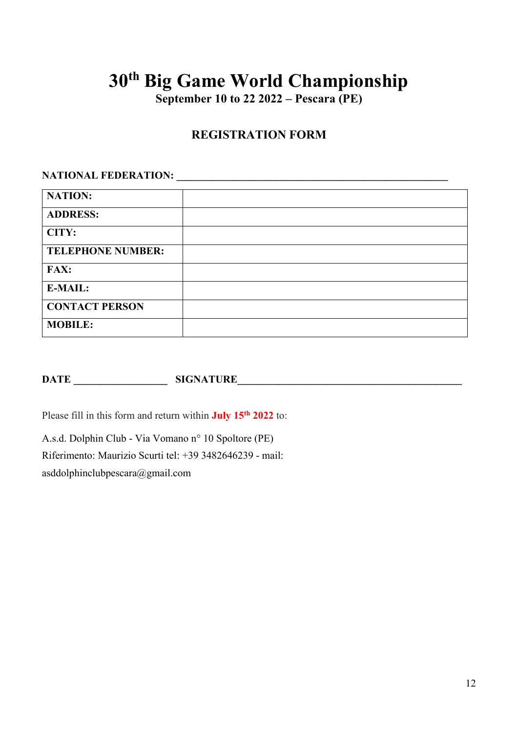**September 10 to 22 2022 – Pescara (PE)**

### **REGISTRATION FORM**

## **NATIONAL FEDERATION: \_\_\_\_\_\_\_\_\_\_\_\_\_\_\_\_\_\_\_\_\_\_\_\_\_\_\_\_\_\_\_\_\_\_\_\_\_\_\_\_\_\_\_\_\_\_\_\_\_\_\_\_**

| <b>NATION:</b>           |  |
|--------------------------|--|
| <b>ADDRESS:</b>          |  |
| CITY:                    |  |
| <b>TELEPHONE NUMBER:</b> |  |
| <b>FAX:</b>              |  |
| <b>E-MAIL:</b>           |  |
| <b>CONTACT PERSON</b>    |  |
| <b>MOBILE:</b>           |  |

**DATE \_\_\_\_\_\_\_\_\_\_\_\_\_\_\_\_\_\_ SIGNATURE\_\_\_\_\_\_\_\_\_\_\_\_\_\_\_\_\_\_\_\_\_\_\_\_\_\_\_\_\_\_\_\_\_\_\_\_\_\_\_\_\_\_\_**

Please fill in this form and return within **July 15th 2022** to:

A.s.d. Dolphin Club - Via Vomano n° 10 Spoltore (PE) Riferimento: Maurizio Scurti tel: +39 3482646239 - mail: asddolphinclubpescara@gmail.com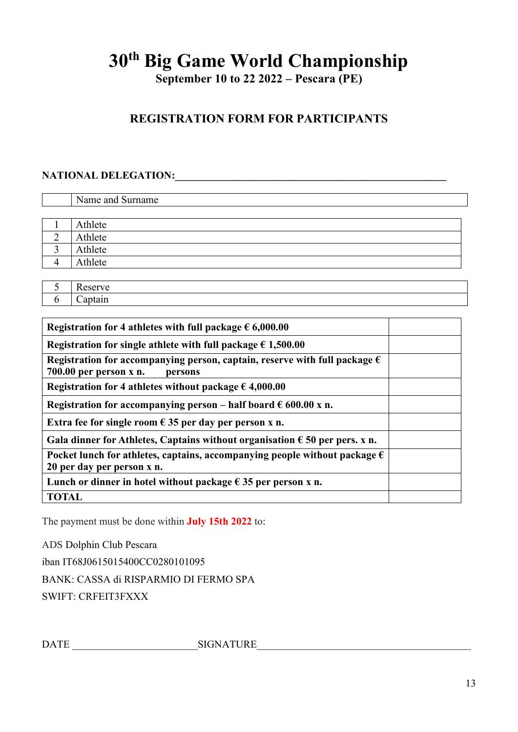**September 10 to 22 2022 – Pescara (PE)**

## **REGISTRATION FORM FOR PARTICIPANTS**

## **NATIONAL DELEGATION:\_\_\_\_\_\_\_\_\_\_\_\_\_\_\_\_\_\_\_\_\_\_\_\_\_\_\_\_\_\_\_\_\_\_\_\_\_\_\_\_\_\_\_\_\_\_\_\_\_\_\_\_**

| Name and Surname |
|------------------|
|                  |
| Athlete          |
| Athlete          |
| Athlete          |
| Athlete          |
|                  |
|                  |

| Registration for 4 athletes with full package $\epsilon$ 6,000.00                                                          |  |
|----------------------------------------------------------------------------------------------------------------------------|--|
| Registration for single athlete with full package $\epsilon$ 1,500.00                                                      |  |
| Registration for accompanying person, captain, reserve with full package $\epsilon$<br>$700.00$ per person x n.<br>persons |  |
| Registration for 4 athletes without package $\epsilon$ 4,000.00                                                            |  |
| Registration for accompanying person – half board $\epsilon$ 600.00 x n.                                                   |  |
| Extra fee for single room $\epsilon$ 35 per day per person x n.                                                            |  |
| Gala dinner for Athletes, Captains without organisation $\epsilon$ 50 per pers. x n.                                       |  |
| Pocket lunch for athletes, captains, accompanying people without package $\epsilon$<br>20 per day per person x n.          |  |
| Lunch or dinner in hotel without package $\epsilon$ 35 per person x n.                                                     |  |
| <b>TOTAL</b>                                                                                                               |  |

The payment must be done within **July 15th 2022** to:

ADS Dolphin Club Pescara

iban IT68J0615015400CC0280101095

BANK: CASSA di RISPARMIO DI FERMO SPA

SWIFT: CRFEIT3FXXX

DATE \_\_\_\_\_\_\_\_\_\_\_\_\_\_\_\_\_\_\_\_\_\_\_\_SIGNATURE\_\_\_\_\_\_\_\_\_\_\_\_\_\_\_\_\_\_\_\_\_\_\_\_\_\_\_\_\_\_\_\_\_\_\_\_\_\_\_\_\_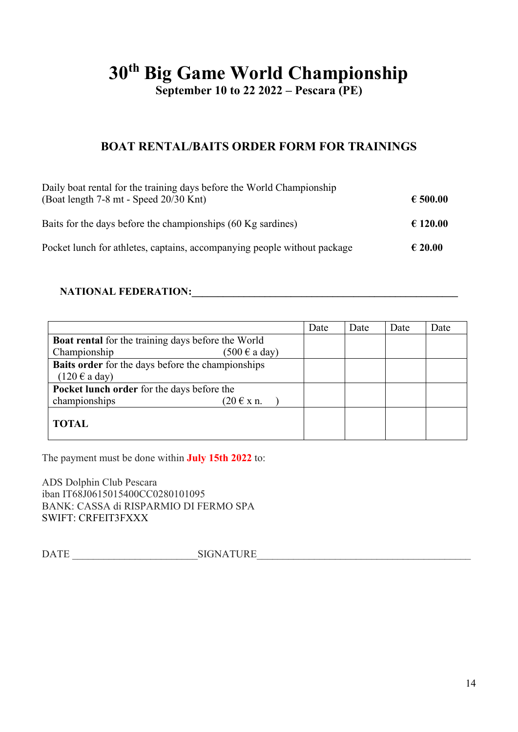**September 10 to 22 2022 – Pescara (PE)**

### **BOAT RENTAL/BAITS ORDER FORM FOR TRAININGS**

| Daily boat rental for the training days before the World Championship<br>(Boat length 7-8 mt - Speed 20/30 Knt) | € 500.00         |
|-----------------------------------------------------------------------------------------------------------------|------------------|
| Baits for the days before the championships (60 Kg sardines)                                                    | € 120.00         |
| Pocket lunch for athletes, captains, accompanying people without package                                        | $\epsilon$ 20.00 |

#### **NATIONAL FEDERATION:**

|                                                           | Date | Date | Date | Date |
|-----------------------------------------------------------|------|------|------|------|
| <b>Boat rental</b> for the training days before the World |      |      |      |      |
| Championship<br>$(500 \text{ } \in \text{a day})$         |      |      |      |      |
| <b>Baits order</b> for the days before the championships  |      |      |      |      |
| $(120 \text{ } \in \text{a day})$                         |      |      |      |      |
| Pocket lunch order for the days before the                |      |      |      |      |
| championships<br>$(20 \in x n$ .                          |      |      |      |      |
| <b>TOTAL</b>                                              |      |      |      |      |

The payment must be done within **July 15th 2022** to:

ADS Dolphin Club Pescara iban IT68J0615015400CC0280101095 BANK: CASSA di RISPARMIO DI FERMO SPA SWIFT: CRFEIT3FXXX

DATE \_\_\_\_\_\_\_\_\_\_\_\_\_\_\_\_\_\_\_\_\_\_\_\_SIGNATURE\_\_\_\_\_\_\_\_\_\_\_\_\_\_\_\_\_\_\_\_\_\_\_\_\_\_\_\_\_\_\_\_\_\_\_\_\_\_\_\_\_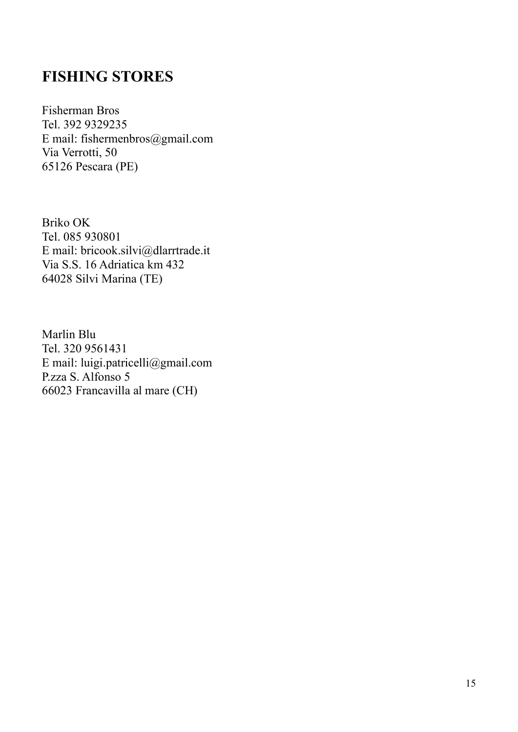## **FISHING STORES**

Fisherman Bros Tel. 392 9329235 E mail: fishermenbros@gmail.com Via Verrotti, 50 65126 Pescara (PE)

Briko OK Tel. 085 930801 E mail: bricook.silvi@dlarrtrade.it Via S.S. 16 Adriatica km 432 64028 Silvi Marina (TE)

Marlin Blu Tel. 320 9561431 E mail: luigi.patricelli@gmail.com P.zza S. Alfonso 5 66023 Francavilla al mare (CH)